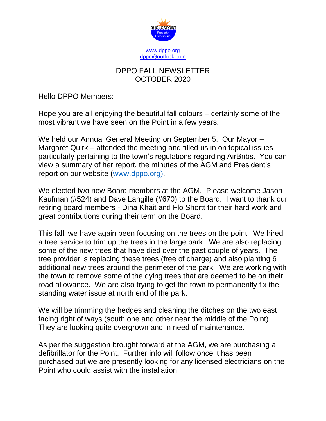

## DPPO FALL NEWSLETTER OCTOBER 2020

Hello DPPO Members:

Hope you are all enjoying the beautiful fall colours – certainly some of the most vibrant we have seen on the Point in a few years.

We held our Annual General Meeting on September 5. Our Mayor – Margaret Quirk – attended the meeting and filled us in on topical issues particularly pertaining to the town's regulations regarding AirBnbs. You can view a summary of her report, the minutes of the AGM and President's report on our website [\(www.dppo.org\).](http://www.dppo.org)/)

We elected two new Board members at the AGM. Please welcome Jason Kaufman (#524) and Dave Langille (#670) to the Board. I want to thank our retiring board members - Dina Khait and Flo Shortt for their hard work and great contributions during their term on the Board.

This fall, we have again been focusing on the trees on the point. We hired a tree service to trim up the trees in the large park. We are also replacing some of the new trees that have died over the past couple of years. The tree provider is replacing these trees (free of charge) and also planting 6 additional new trees around the perimeter of the park. We are working with the town to remove some of the dying trees that are deemed to be on their road allowance. We are also trying to get the town to permanently fix the standing water issue at north end of the park.

We will be trimming the hedges and cleaning the ditches on the two east facing right of ways (south one and other near the middle of the Point). They are looking quite overgrown and in need of maintenance.

As per the suggestion brought forward at the AGM, we are purchasing a defibrillator for the Point. Further info will follow once it has been purchased but we are presently looking for any licensed electricians on the Point who could assist with the installation.